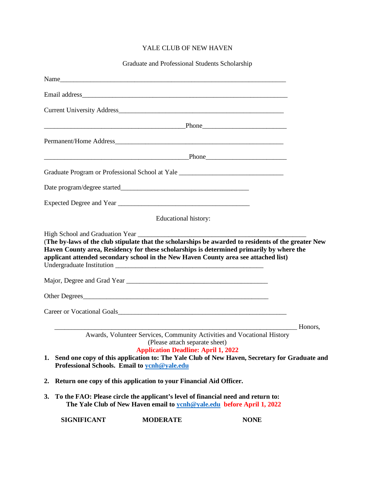## YALE CLUB OF NEW HAVEN

Graduate and Professional Students Scholarship

|    |                                                                                                                                                             |                                                                              | <u>Phone</u> Phone 2008 Phone 2008 Phone 2008 Phone 2008 Phone 2008 Phone 2008 Phone 2008 Phone 2008 Phone 2008 Phone 2008 Phone 2008 Phone 2008 Phone 2008 Phone 2008 Phone 2008 Phone 2008 Phone 2008 Phone 2008 Phone 2008 Phone                                                    |
|----|-------------------------------------------------------------------------------------------------------------------------------------------------------------|------------------------------------------------------------------------------|----------------------------------------------------------------------------------------------------------------------------------------------------------------------------------------------------------------------------------------------------------------------------------------|
|    |                                                                                                                                                             |                                                                              |                                                                                                                                                                                                                                                                                        |
|    |                                                                                                                                                             |                                                                              | Phone                                                                                                                                                                                                                                                                                  |
|    |                                                                                                                                                             |                                                                              | Graduate Program or Professional School at Yale _________________________________                                                                                                                                                                                                      |
|    |                                                                                                                                                             |                                                                              |                                                                                                                                                                                                                                                                                        |
|    |                                                                                                                                                             |                                                                              |                                                                                                                                                                                                                                                                                        |
|    |                                                                                                                                                             | Educational history:                                                         |                                                                                                                                                                                                                                                                                        |
|    |                                                                                                                                                             |                                                                              | (The by-laws of the club stipulate that the scholarships be awarded to residents of the greater New<br>Haven County area, Residency for these scholarships is determined primarily by where the<br>applicant attended secondary school in the New Haven County area see attached list) |
|    |                                                                                                                                                             |                                                                              |                                                                                                                                                                                                                                                                                        |
|    | Professional Schools. Email to yenh@yale.edu                                                                                                                | (Please attach separate sheet)<br><b>Application Deadline: April 1, 2022</b> | Honors,<br>Awards, Volunteer Services, Community Activities and Vocational History<br>1. Send one copy of this application to: The Yale Club of New Haven, Secretary for Graduate and                                                                                                  |
| 2. | Return one copy of this application to your Financial Aid Officer.                                                                                          |                                                                              |                                                                                                                                                                                                                                                                                        |
| 3. | To the FAO: Please circle the applicant's level of financial need and return to:<br>The Yale Club of New Haven email to your Oyale.edu before April 1, 2022 |                                                                              |                                                                                                                                                                                                                                                                                        |
|    | <b>SIGNIFICANT</b>                                                                                                                                          | <b>MODERATE</b>                                                              | <b>NONE</b>                                                                                                                                                                                                                                                                            |